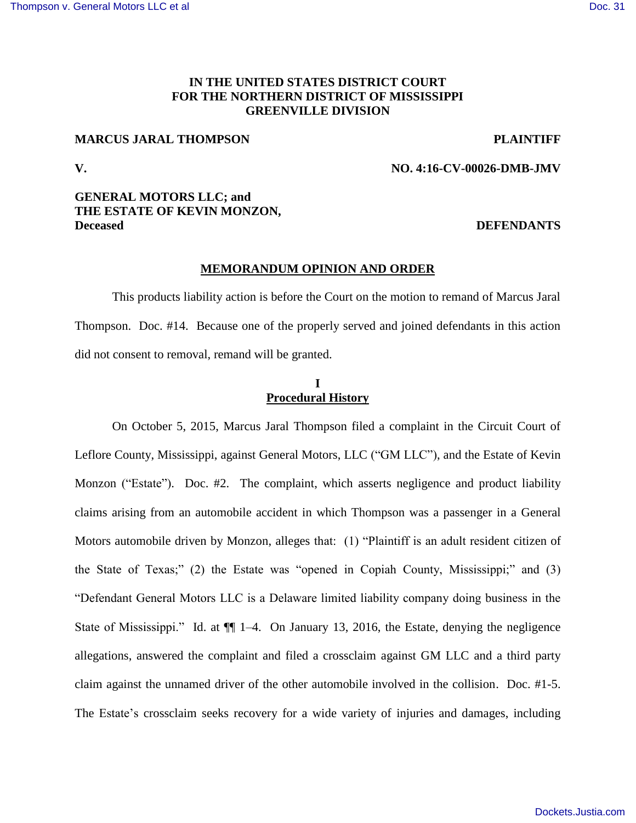## **IN THE UNITED STATES DISTRICT COURT FOR THE NORTHERN DISTRICT OF MISSISSIPPI GREENVILLE DIVISION**

## **MARCUS JARAL THOMPSON PLAINTIFF**

**V. NO. 4:16-CV-00026-DMB-JMV** 

## **GENERAL MOTORS LLC; and THE ESTATE OF KEVIN MONZON, Deceased DEFENDANTS**

#### **MEMORANDUM OPINION AND ORDER**

This products liability action is before the Court on the motion to remand of Marcus Jaral Thompson. Doc. #14. Because one of the properly served and joined defendants in this action did not consent to removal, remand will be granted.

# **I Procedural History**

On October 5, 2015, Marcus Jaral Thompson filed a complaint in the Circuit Court of Leflore County, Mississippi, against General Motors, LLC ("GM LLC"), and the Estate of Kevin Monzon ("Estate"). Doc. #2. The complaint, which asserts negligence and product liability claims arising from an automobile accident in which Thompson was a passenger in a General Motors automobile driven by Monzon, alleges that: (1) "Plaintiff is an adult resident citizen of the State of Texas;" (2) the Estate was "opened in Copiah County, Mississippi;" and (3) "Defendant General Motors LLC is a Delaware limited liability company doing business in the State of Mississippi." Id. at ¶¶ 1–4. On January 13, 2016, the Estate, denying the negligence allegations, answered the complaint and filed a crossclaim against GM LLC and a third party claim against the unnamed driver of the other automobile involved in the collision. Doc. #1-5. The Estate's crossclaim seeks recovery for a wide variety of injuries and damages, including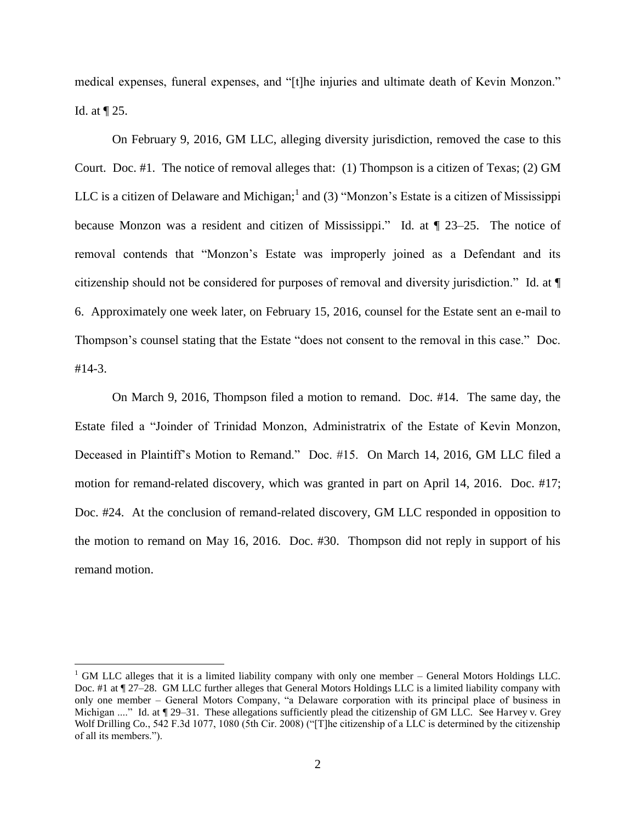medical expenses, funeral expenses, and "[t]he injuries and ultimate death of Kevin Monzon." Id. at ¶ 25.

 On February 9, 2016, GM LLC, alleging diversity jurisdiction, removed the case to this Court. Doc. #1. The notice of removal alleges that: (1) Thompson is a citizen of Texas; (2) GM LLC is a citizen of Delaware and Michigan;<sup>1</sup> and (3) "Monzon's Estate is a citizen of Mississippi because Monzon was a resident and citizen of Mississippi." Id. at ¶ 23–25. The notice of removal contends that "Monzon's Estate was improperly joined as a Defendant and its citizenship should not be considered for purposes of removal and diversity jurisdiction." Id. at ¶ 6. Approximately one week later, on February 15, 2016, counsel for the Estate sent an e-mail to Thompson's counsel stating that the Estate "does not consent to the removal in this case." Doc. #14-3.

 On March 9, 2016, Thompson filed a motion to remand. Doc. #14. The same day, the Estate filed a "Joinder of Trinidad Monzon, Administratrix of the Estate of Kevin Monzon, Deceased in Plaintiff's Motion to Remand." Doc. #15. On March 14, 2016, GM LLC filed a motion for remand-related discovery, which was granted in part on April 14, 2016. Doc. #17; Doc. #24. At the conclusion of remand-related discovery, GM LLC responded in opposition to the motion to remand on May 16, 2016. Doc. #30. Thompson did not reply in support of his remand motion.

<sup>&</sup>lt;sup>1</sup> GM LLC alleges that it is a limited liability company with only one member – General Motors Holdings LLC. Doc. #1 at ¶ 27–28. GM LLC further alleges that General Motors Holdings LLC is a limited liability company with only one member – General Motors Company, "a Delaware corporation with its principal place of business in Michigan ...." Id. at  $\P$  29–31. These allegations sufficiently plead the citizenship of GM LLC. See Harvey v. Grey Wolf Drilling Co., 542 F.3d 1077, 1080 (5th Cir. 2008) ("The citizenship of a LLC is determined by the citizenship of all its members.").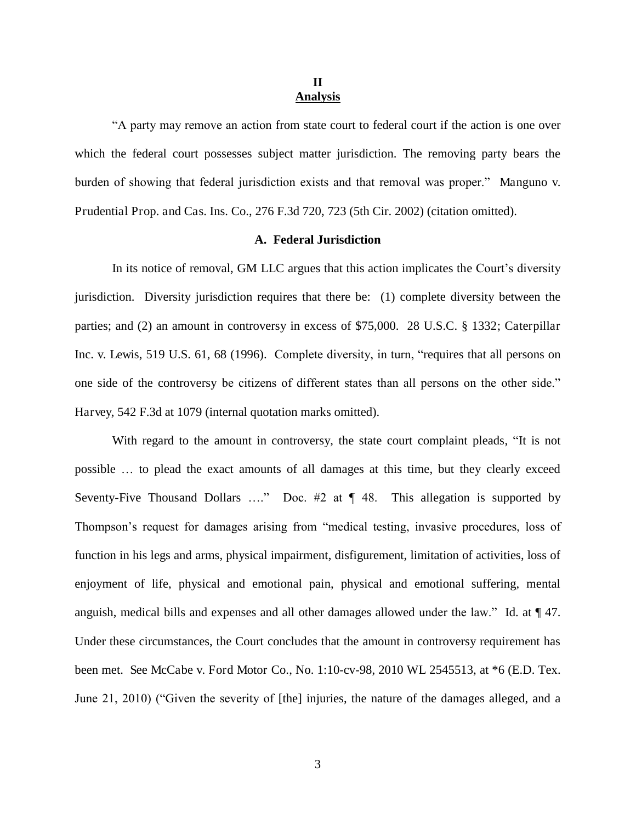### **II Analysis**

"A party may remove an action from state court to federal court if the action is one over which the federal court possesses subject matter jurisdiction. The removing party bears the burden of showing that federal jurisdiction exists and that removal was proper." Manguno v. Prudential Prop. and Cas. Ins. Co., 276 F.3d 720, 723 (5th Cir. 2002) (citation omitted).

#### **A. Federal Jurisdiction**

In its notice of removal, GM LLC argues that this action implicates the Court's diversity jurisdiction. Diversity jurisdiction requires that there be: (1) complete diversity between the parties; and (2) an amount in controversy in excess of \$75,000. 28 U.S.C. § 1332; Caterpillar Inc. v. Lewis, 519 U.S. 61, 68 (1996). Complete diversity, in turn, "requires that all persons on one side of the controversy be citizens of different states than all persons on the other side." Harvey, 542 F.3d at 1079 (internal quotation marks omitted).

With regard to the amount in controversy, the state court complaint pleads, "It is not possible … to plead the exact amounts of all damages at this time, but they clearly exceed Seventy-Five Thousand Dollars ...." Doc.  $\#2$  at  $\P$  48. This allegation is supported by Thompson's request for damages arising from "medical testing, invasive procedures, loss of function in his legs and arms, physical impairment, disfigurement, limitation of activities, loss of enjoyment of life, physical and emotional pain, physical and emotional suffering, mental anguish, medical bills and expenses and all other damages allowed under the law." Id. at ¶ 47. Under these circumstances, the Court concludes that the amount in controversy requirement has been met. See McCabe v. Ford Motor Co., No. 1:10-cv-98, 2010 WL 2545513, at \*6 (E.D. Tex. June 21, 2010) ("Given the severity of [the] injuries, the nature of the damages alleged, and a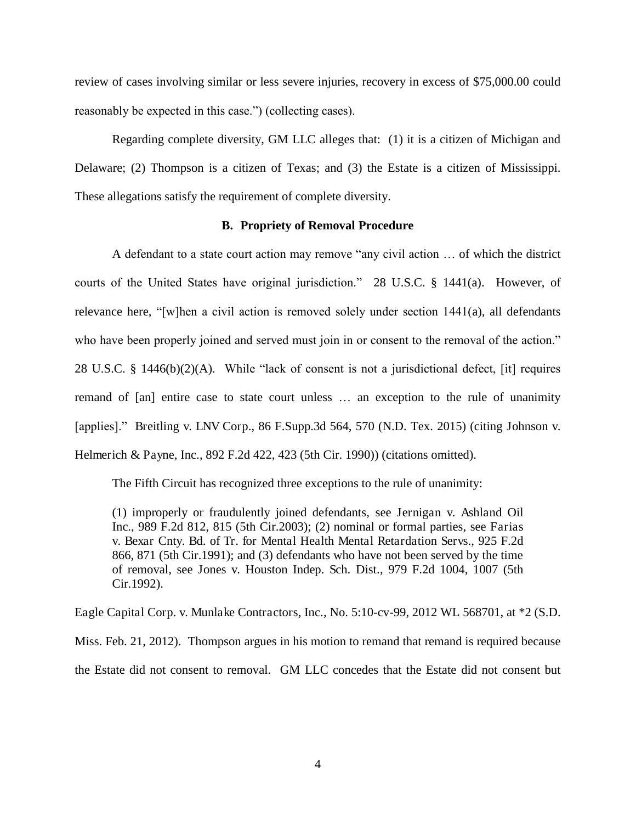review of cases involving similar or less severe injuries, recovery in excess of \$75,000.00 could reasonably be expected in this case.") (collecting cases).

Regarding complete diversity, GM LLC alleges that: (1) it is a citizen of Michigan and Delaware; (2) Thompson is a citizen of Texas; and (3) the Estate is a citizen of Mississippi. These allegations satisfy the requirement of complete diversity.

#### **B. Propriety of Removal Procedure**

 A defendant to a state court action may remove "any civil action … of which the district courts of the United States have original jurisdiction." 28 U.S.C. § 1441(a). However, of relevance here, "[w]hen a civil action is removed solely under section 1441(a), all defendants who have been properly joined and served must join in or consent to the removal of the action." 28 U.S.C. § 1446(b)(2)(A). While "lack of consent is not a jurisdictional defect, [it] requires remand of [an] entire case to state court unless … an exception to the rule of unanimity [applies]." Breitling v. LNV Corp., 86 F.Supp.3d 564, 570 (N.D. Tex. 2015) (citing Johnson v. Helmerich & Payne, Inc., 892 F.2d 422, 423 (5th Cir. 1990)) (citations omitted).

The Fifth Circuit has recognized three exceptions to the rule of unanimity:

(1) improperly or fraudulently joined defendants, see Jernigan v. Ashland Oil Inc., 989 F.2d 812, 815 (5th Cir.2003); (2) nominal or formal parties, see Farias v. Bexar Cnty. Bd. of Tr. for Mental Health Mental Retardation Servs., 925 F.2d 866, 871 (5th Cir.1991); and (3) defendants who have not been served by the time of removal, see Jones v. Houston Indep. Sch. Dist., 979 F.2d 1004, 1007 (5th Cir.1992).

Eagle Capital Corp. v. Munlake Contractors, Inc., No. 5:10-cv-99, 2012 WL 568701, at \*2 (S.D.

Miss. Feb. 21, 2012). Thompson argues in his motion to remand that remand is required because the Estate did not consent to removal. GM LLC concedes that the Estate did not consent but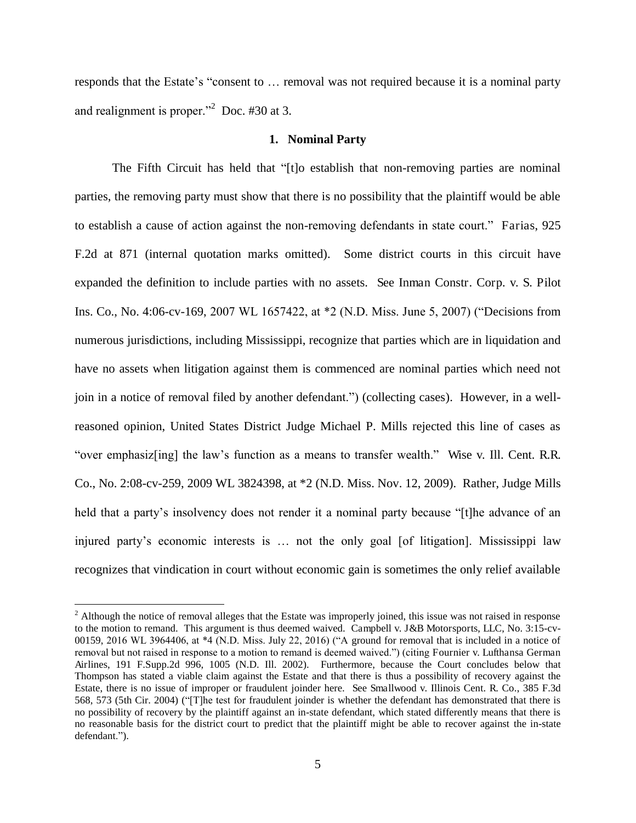responds that the Estate's "consent to … removal was not required because it is a nominal party and realignment is proper."<sup>2</sup> Doc.  $#30$  at 3.

#### **1. Nominal Party**

 The Fifth Circuit has held that "[t]o establish that non-removing parties are nominal parties, the removing party must show that there is no possibility that the plaintiff would be able to establish a cause of action against the non-removing defendants in state court." Farias, 925 F.2d at 871 (internal quotation marks omitted). Some district courts in this circuit have expanded the definition to include parties with no assets. See Inman Constr. Corp. v. S. Pilot Ins. Co., No. 4:06-cv-169, 2007 WL 1657422, at \*2 (N.D. Miss. June 5, 2007) ("Decisions from numerous jurisdictions, including Mississippi, recognize that parties which are in liquidation and have no assets when litigation against them is commenced are nominal parties which need not join in a notice of removal filed by another defendant.") (collecting cases). However, in a wellreasoned opinion, United States District Judge Michael P. Mills rejected this line of cases as "over emphasiz[ing] the law's function as a means to transfer wealth." Wise v. Ill. Cent. R.R. Co., No. 2:08-cv-259, 2009 WL 3824398, at \*2 (N.D. Miss. Nov. 12, 2009). Rather, Judge Mills held that a party's insolvency does not render it a nominal party because "[t]he advance of an injured party's economic interests is … not the only goal [of litigation]. Mississippi law recognizes that vindication in court without economic gain is sometimes the only relief available

<sup>&</sup>lt;sup>2</sup> Although the notice of removal alleges that the Estate was improperly joined, this issue was not raised in response to the motion to remand. This argument is thus deemed waived. Campbell v. J&B Motorsports, LLC, No. 3:15-cv-00159, 2016 WL 3964406, at \*4 (N.D. Miss. July 22, 2016) ("A ground for removal that is included in a notice of removal but not raised in response to a motion to remand is deemed waived.") (citing Fournier v. Lufthansa German Airlines, 191 F.Supp.2d 996, 1005 (N.D. Ill. 2002). Furthermore, because the Court concludes below that Thompson has stated a viable claim against the Estate and that there is thus a possibility of recovery against the Estate, there is no issue of improper or fraudulent joinder here. See Smallwood v. Illinois Cent. R. Co., 385 F.3d 568, 573 (5th Cir. 2004) ("[T]he test for fraudulent joinder is whether the defendant has demonstrated that there is no possibility of recovery by the plaintiff against an in-state defendant, which stated differently means that there is no reasonable basis for the district court to predict that the plaintiff might be able to recover against the in-state defendant.").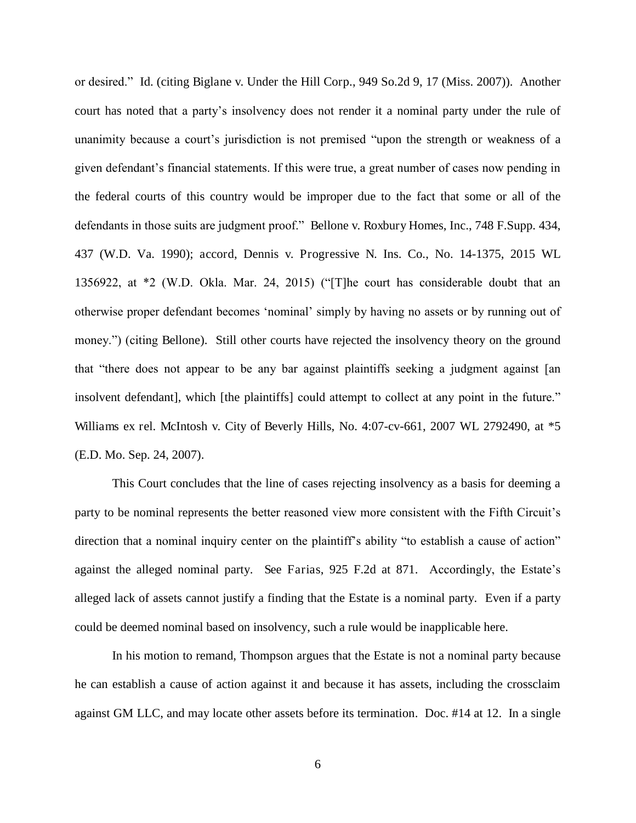or desired." Id. (citing Biglane v. Under the Hill Corp., 949 So.2d 9, 17 (Miss. 2007)). Another court has noted that a party's insolvency does not render it a nominal party under the rule of unanimity because a court's jurisdiction is not premised "upon the strength or weakness of a given defendant's financial statements. If this were true, a great number of cases now pending in the federal courts of this country would be improper due to the fact that some or all of the defendants in those suits are judgment proof." Bellone v. Roxbury Homes, Inc., 748 F.Supp. 434, 437 (W.D. Va. 1990); accord, Dennis v. Progressive N. Ins. Co., No. 14-1375, 2015 WL 1356922, at \*2 (W.D. Okla. Mar. 24, 2015) ("[T]he court has considerable doubt that an otherwise proper defendant becomes 'nominal' simply by having no assets or by running out of money.") (citing Bellone). Still other courts have rejected the insolvency theory on the ground that "there does not appear to be any bar against plaintiffs seeking a judgment against [an insolvent defendant], which [the plaintiffs] could attempt to collect at any point in the future." Williams ex rel. McIntosh v. City of Beverly Hills, No. 4:07-cv-661, 2007 WL 2792490, at \*5 (E.D. Mo. Sep. 24, 2007).

 This Court concludes that the line of cases rejecting insolvency as a basis for deeming a party to be nominal represents the better reasoned view more consistent with the Fifth Circuit's direction that a nominal inquiry center on the plaintiff's ability "to establish a cause of action" against the alleged nominal party. See Farias, 925 F.2d at 871. Accordingly, the Estate's alleged lack of assets cannot justify a finding that the Estate is a nominal party. Even if a party could be deemed nominal based on insolvency, such a rule would be inapplicable here.

 In his motion to remand, Thompson argues that the Estate is not a nominal party because he can establish a cause of action against it and because it has assets, including the crossclaim against GM LLC, and may locate other assets before its termination. Doc. #14 at 12. In a single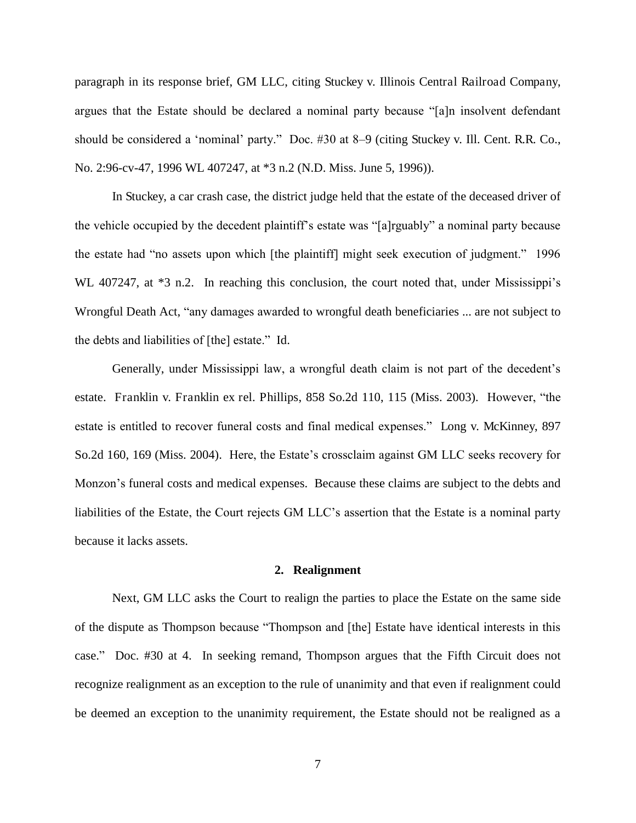paragraph in its response brief, GM LLC, citing Stuckey v. Illinois Central Railroad Company, argues that the Estate should be declared a nominal party because "[a]n insolvent defendant should be considered a 'nominal' party." Doc. #30 at 8–9 (citing Stuckey v. Ill. Cent. R.R. Co., No. 2:96-cv-47, 1996 WL 407247, at \*3 n.2 (N.D. Miss. June 5, 1996)).

 In Stuckey, a car crash case, the district judge held that the estate of the deceased driver of the vehicle occupied by the decedent plaintiff's estate was "[a]rguably" a nominal party because the estate had "no assets upon which [the plaintiff] might seek execution of judgment." 1996 WL 407247, at  $*3$  n.2. In reaching this conclusion, the court noted that, under Mississippi's Wrongful Death Act, "any damages awarded to wrongful death beneficiaries ... are not subject to the debts and liabilities of [the] estate." Id.

 Generally, under Mississippi law, a wrongful death claim is not part of the decedent's estate. Franklin v. Franklin ex rel. Phillips, 858 So.2d 110, 115 (Miss. 2003). However, "the estate is entitled to recover funeral costs and final medical expenses." Long v. McKinney, 897 So.2d 160, 169 (Miss. 2004). Here, the Estate's crossclaim against GM LLC seeks recovery for Monzon's funeral costs and medical expenses. Because these claims are subject to the debts and liabilities of the Estate, the Court rejects GM LLC's assertion that the Estate is a nominal party because it lacks assets.

#### **2. Realignment**

 Next, GM LLC asks the Court to realign the parties to place the Estate on the same side of the dispute as Thompson because "Thompson and [the] Estate have identical interests in this case." Doc. #30 at 4. In seeking remand, Thompson argues that the Fifth Circuit does not recognize realignment as an exception to the rule of unanimity and that even if realignment could be deemed an exception to the unanimity requirement, the Estate should not be realigned as a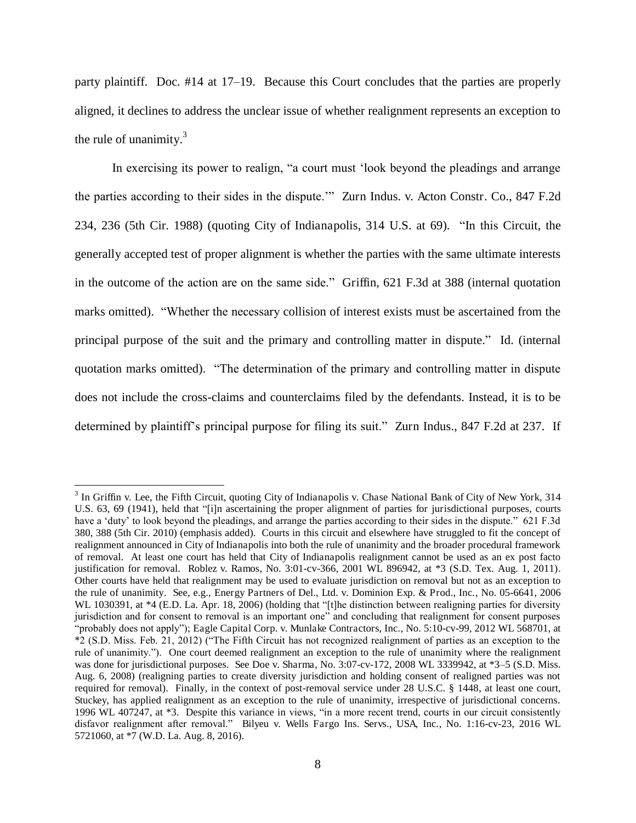party plaintiff. Doc. #14 at 17–19. Because this Court concludes that the parties are properly aligned, it declines to address the unclear issue of whether realignment represents an exception to the rule of unanimity. $3$ 

In exercising its power to realign, "a court must 'look beyond the pleadings and arrange the parties according to their sides in the dispute.'" Zurn Indus. v. Acton Constr. Co., 847 F.2d 234, 236 (5th Cir. 1988) (quoting City of Indianapolis, 314 U.S. at 69). "In this Circuit, the generally accepted test of proper alignment is whether the parties with the same ultimate interests in the outcome of the action are on the same side." Griffin, 621 F.3d at 388 (internal quotation marks omitted). "Whether the necessary collision of interest exists must be ascertained from the principal purpose of the suit and the primary and controlling matter in dispute." Id. (internal quotation marks omitted). "The determination of the primary and controlling matter in dispute does not include the cross-claims and counterclaims filed by the defendants. Instead, it is to be determined by plaintiff's principal purpose for filing its suit." Zurn Indus., 847 F.2d at 237. If

 $\overline{a}$ 

<sup>&</sup>lt;sup>3</sup> In Griffin v. Lee, the Fifth Circuit, quoting City of Indianapolis v. Chase National Bank of City of New York, 314 U.S. 63, 69 (1941), held that "[i]n ascertaining the proper alignment of parties for jurisdictional purposes, courts have a 'duty' to look beyond the pleadings, and arrange the parties according to their sides in the dispute." 621 F.3d 380, 388 (5th Cir. 2010) (emphasis added). Courts in this circuit and elsewhere have struggled to fit the concept of realignment announced in City of Indianapolis into both the rule of unanimity and the broader procedural framework of removal. At least one court has held that City of Indianapolis realignment cannot be used as an ex post facto justification for removal. Roblez v. Ramos, No. 3:01-cv-366, 2001 WL 896942, at \*3 (S.D. Tex. Aug. 1, 2011). Other courts have held that realignment may be used to evaluate jurisdiction on removal but not as an exception to the rule of unanimity. See, e.g., Energy Partners of Del., Ltd. v. Dominion Exp. & Prod., Inc., No. 05-6641, 2006 WL 1030391, at \*4 (E.D. La. Apr. 18, 2006) (holding that "[t]he distinction between realigning parties for diversity jurisdiction and for consent to removal is an important one" and concluding that realignment for consent purposes "probably does not apply"); Eagle Capital Corp. v. Munlake Contractors, Inc., No. 5:10-cv-99, 2012 WL 568701, at \*2 (S.D. Miss. Feb. 21, 2012) ("The Fifth Circuit has not recognized realignment of parties as an exception to the rule of unanimity."). One court deemed realignment an exception to the rule of unanimity where the realignment was done for jurisdictional purposes. See Doe v. Sharma, No. 3:07-cv-172, 2008 WL 3339942, at \*3–5 (S.D. Miss. Aug. 6, 2008) (realigning parties to create diversity jurisdiction and holding consent of realigned parties was not required for removal). Finally, in the context of post-removal service under 28 U.S.C. § 1448, at least one court, Stuckey, has applied realignment as an exception to the rule of unanimity, irrespective of jurisdictional concerns. 1996 WL 407247, at \*3. Despite this variance in views, "in a more recent trend, courts in our circuit consistently disfavor realignment after removal." Bilyeu v. Wells Fargo Ins. Servs., USA, Inc., No. 1:16-cv-23, 2016 WL 5721060, at \*7 (W.D. La. Aug. 8, 2016).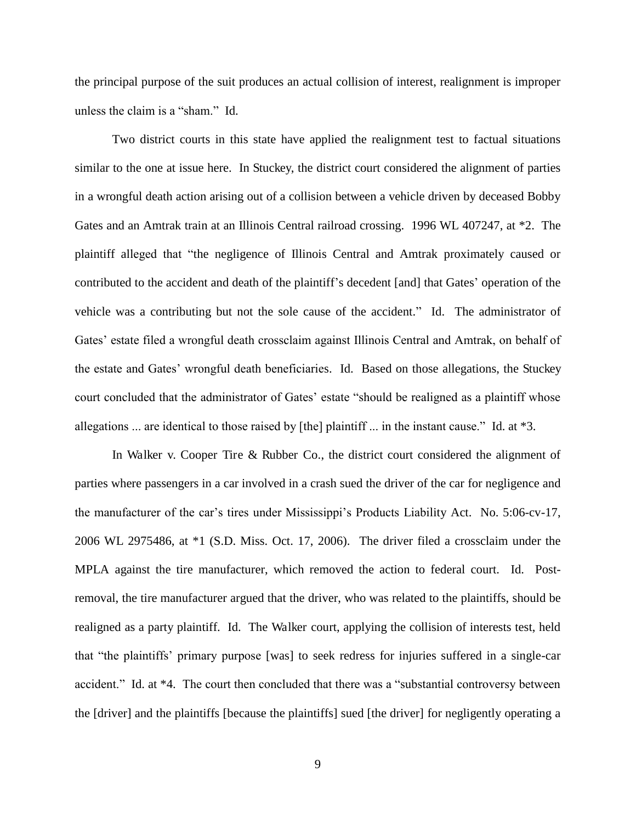the principal purpose of the suit produces an actual collision of interest, realignment is improper unless the claim is a "sham." Id.

 Two district courts in this state have applied the realignment test to factual situations similar to the one at issue here. In Stuckey, the district court considered the alignment of parties in a wrongful death action arising out of a collision between a vehicle driven by deceased Bobby Gates and an Amtrak train at an Illinois Central railroad crossing. 1996 WL 407247, at \*2. The plaintiff alleged that "the negligence of Illinois Central and Amtrak proximately caused or contributed to the accident and death of the plaintiff's decedent [and] that Gates' operation of the vehicle was a contributing but not the sole cause of the accident." Id. The administrator of Gates' estate filed a wrongful death crossclaim against Illinois Central and Amtrak, on behalf of the estate and Gates' wrongful death beneficiaries. Id. Based on those allegations, the Stuckey court concluded that the administrator of Gates' estate "should be realigned as a plaintiff whose allegations ... are identical to those raised by [the] plaintiff ... in the instant cause." Id. at \*3.

 In Walker v. Cooper Tire & Rubber Co., the district court considered the alignment of parties where passengers in a car involved in a crash sued the driver of the car for negligence and the manufacturer of the car's tires under Mississippi's Products Liability Act. No. 5:06-cv-17, 2006 WL 2975486, at \*1 (S.D. Miss. Oct. 17, 2006). The driver filed a crossclaim under the MPLA against the tire manufacturer, which removed the action to federal court. Id. Postremoval, the tire manufacturer argued that the driver, who was related to the plaintiffs, should be realigned as a party plaintiff. Id. The Walker court, applying the collision of interests test, held that "the plaintiffs' primary purpose [was] to seek redress for injuries suffered in a single-car accident." Id. at \*4. The court then concluded that there was a "substantial controversy between the [driver] and the plaintiffs [because the plaintiffs] sued [the driver] for negligently operating a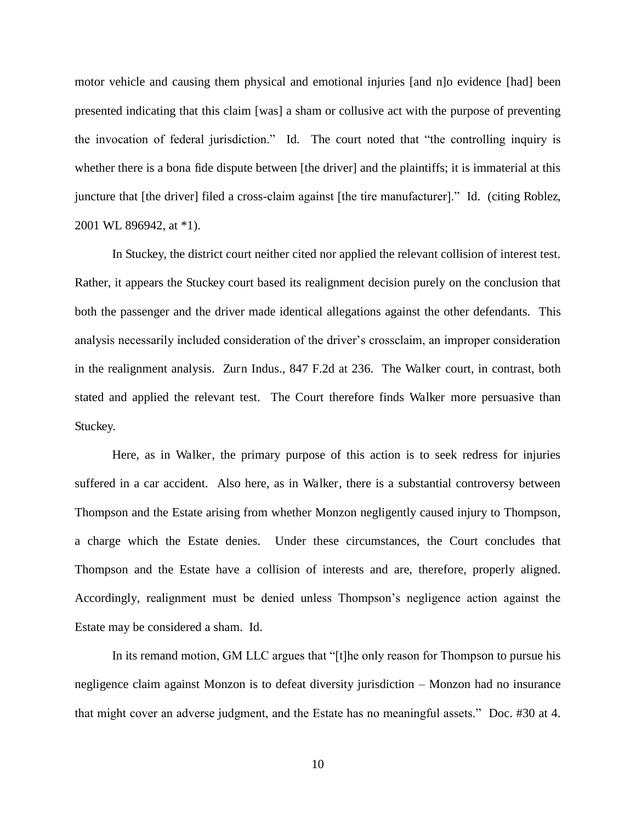motor vehicle and causing them physical and emotional injuries [and n]o evidence [had] been presented indicating that this claim [was] a sham or collusive act with the purpose of preventing the invocation of federal jurisdiction." Id. The court noted that "the controlling inquiry is whether there is a bona fide dispute between [the driver] and the plaintiffs; it is immaterial at this juncture that [the driver] filed a cross-claim against [the tire manufacturer]." Id. (citing Roblez, 2001 WL 896942, at \*1).

 In Stuckey, the district court neither cited nor applied the relevant collision of interest test. Rather, it appears the Stuckey court based its realignment decision purely on the conclusion that both the passenger and the driver made identical allegations against the other defendants. This analysis necessarily included consideration of the driver's crossclaim, an improper consideration in the realignment analysis. Zurn Indus., 847 F.2d at 236. The Walker court, in contrast, both stated and applied the relevant test. The Court therefore finds Walker more persuasive than Stuckey.

 Here, as in Walker, the primary purpose of this action is to seek redress for injuries suffered in a car accident. Also here, as in Walker, there is a substantial controversy between Thompson and the Estate arising from whether Monzon negligently caused injury to Thompson, a charge which the Estate denies. Under these circumstances, the Court concludes that Thompson and the Estate have a collision of interests and are, therefore, properly aligned. Accordingly, realignment must be denied unless Thompson's negligence action against the Estate may be considered a sham. Id.

 In its remand motion, GM LLC argues that "[t]he only reason for Thompson to pursue his negligence claim against Monzon is to defeat diversity jurisdiction – Monzon had no insurance that might cover an adverse judgment, and the Estate has no meaningful assets." Doc. #30 at 4.

10